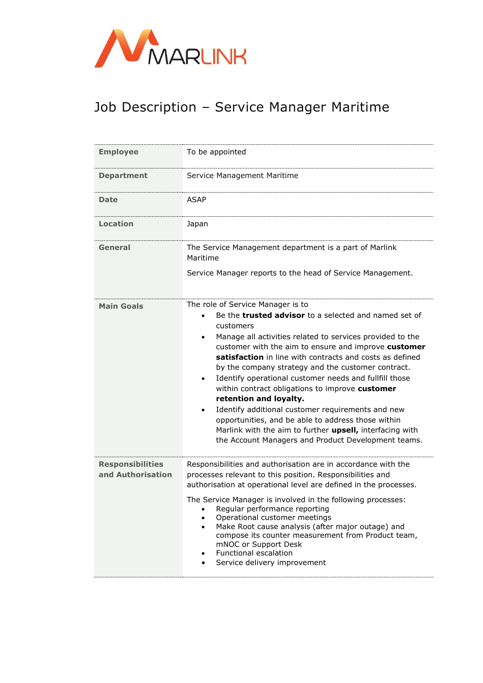

## Job Description – Service Manager Maritime

| <b>Employee</b>                              | To be appointed                                                                                                                                                                                                                                                                                                                                                                                                                                                                                                                                                                                                                                                                                                                         |
|----------------------------------------------|-----------------------------------------------------------------------------------------------------------------------------------------------------------------------------------------------------------------------------------------------------------------------------------------------------------------------------------------------------------------------------------------------------------------------------------------------------------------------------------------------------------------------------------------------------------------------------------------------------------------------------------------------------------------------------------------------------------------------------------------|
| <b>Department</b>                            | Service Management Maritime                                                                                                                                                                                                                                                                                                                                                                                                                                                                                                                                                                                                                                                                                                             |
| Date                                         | <b>ASAP</b>                                                                                                                                                                                                                                                                                                                                                                                                                                                                                                                                                                                                                                                                                                                             |
| Location                                     | Japan                                                                                                                                                                                                                                                                                                                                                                                                                                                                                                                                                                                                                                                                                                                                   |
| General                                      | The Service Management department is a part of Marlink<br>Maritime<br>Service Manager reports to the head of Service Management.                                                                                                                                                                                                                                                                                                                                                                                                                                                                                                                                                                                                        |
| <b>Main Goals</b>                            | The role of Service Manager is to<br>Be the <b>trusted advisor</b> to a selected and named set of<br>customers<br>Manage all activities related to services provided to the<br>customer with the aim to ensure and improve customer<br>satisfaction in line with contracts and costs as defined<br>by the company strategy and the customer contract.<br>Identify operational customer needs and fullfill those<br>$\bullet$<br>within contract obligations to improve customer<br>retention and loyalty.<br>Identify additional customer requirements and new<br>opportunities, and be able to address those within<br>Marlink with the aim to further upsell, interfacing with<br>the Account Managers and Product Development teams. |
| <b>Responsibilities</b><br>and Authorisation | Responsibilities and authorisation are in accordance with the<br>processes relevant to this position. Responsibilities and<br>authorisation at operational level are defined in the processes.<br>The Service Manager is involved in the following processes:<br>Regular performance reporting<br>Operational customer meetings<br>Make Root cause analysis (after major outage) and<br>compose its counter measurement from Product team,<br>mNOC or Support Desk<br>Functional escalation<br>$\bullet$<br>Service delivery improvement<br>$\bullet$                                                                                                                                                                                   |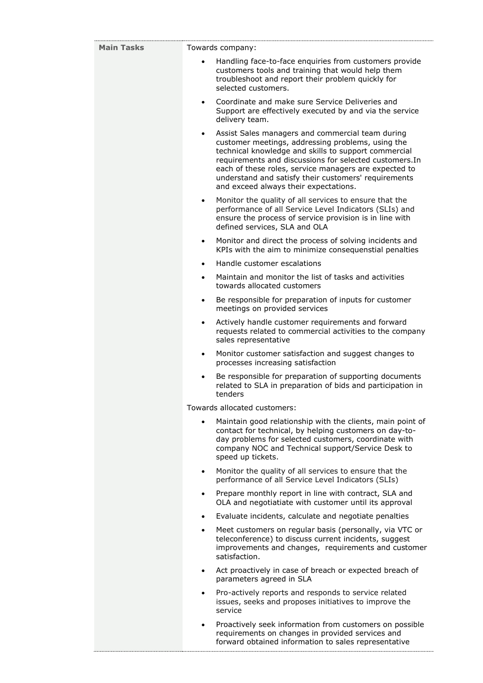| <b>Main Tasks</b> |           | Towards company:                                                                                                                                                                                                                                                                                                                                                                   |
|-------------------|-----------|------------------------------------------------------------------------------------------------------------------------------------------------------------------------------------------------------------------------------------------------------------------------------------------------------------------------------------------------------------------------------------|
|                   |           | Handling face-to-face enquiries from customers provide<br>customers tools and training that would help them<br>troubleshoot and report their problem quickly for<br>selected customers.                                                                                                                                                                                            |
|                   | $\bullet$ | Coordinate and make sure Service Deliveries and<br>Support are effectively executed by and via the service<br>delivery team.                                                                                                                                                                                                                                                       |
|                   | $\bullet$ | Assist Sales managers and commercial team during<br>customer meetings, addressing problems, using the<br>technical knowledge and skills to support commercial<br>requirements and discussions for selected customers. In<br>each of these roles, service managers are expected to<br>understand and satisfy their customers' requirements<br>and exceed always their expectations. |
|                   | $\bullet$ | Monitor the quality of all services to ensure that the<br>performance of all Service Level Indicators (SLIs) and<br>ensure the process of service provision is in line with<br>defined services, SLA and OLA                                                                                                                                                                       |
|                   | $\bullet$ | Monitor and direct the process of solving incidents and<br>KPIs with the aim to minimize consequenstial penalties                                                                                                                                                                                                                                                                  |
|                   | $\bullet$ | Handle customer escalations                                                                                                                                                                                                                                                                                                                                                        |
|                   | $\bullet$ | Maintain and monitor the list of tasks and activities<br>towards allocated customers                                                                                                                                                                                                                                                                                               |
|                   | $\bullet$ | Be responsible for preparation of inputs for customer<br>meetings on provided services                                                                                                                                                                                                                                                                                             |
|                   | $\bullet$ | Actively handle customer requirements and forward<br>requests related to commercial activities to the company<br>sales representative                                                                                                                                                                                                                                              |
|                   | $\bullet$ | Monitor customer satisfaction and suggest changes to<br>processes increasing satisfaction                                                                                                                                                                                                                                                                                          |
|                   | $\bullet$ | Be responsible for preparation of supporting documents<br>related to SLA in preparation of bids and participation in<br>tenders                                                                                                                                                                                                                                                    |
|                   |           | Towards allocated customers:                                                                                                                                                                                                                                                                                                                                                       |
|                   |           | Maintain good relationship with the clients, main point of<br>contact for technical, by helping customers on day-to-<br>day problems for selected customers, coordinate with<br>company NOC and Technical support/Service Desk to<br>speed up tickets.                                                                                                                             |
|                   | $\bullet$ | Monitor the quality of all services to ensure that the<br>performance of all Service Level Indicators (SLIs)                                                                                                                                                                                                                                                                       |
|                   | $\bullet$ | Prepare monthly report in line with contract, SLA and<br>OLA and negotiatiate with customer until its approval                                                                                                                                                                                                                                                                     |
|                   | $\bullet$ | Evaluate incidents, calculate and negotiate penalties                                                                                                                                                                                                                                                                                                                              |
|                   | ٠         | Meet customers on regular basis (personally, via VTC or<br>teleconference) to discuss current incidents, suggest<br>improvements and changes, requirements and customer<br>satisfaction.                                                                                                                                                                                           |
|                   | $\bullet$ | Act proactively in case of breach or expected breach of<br>parameters agreed in SLA                                                                                                                                                                                                                                                                                                |
|                   | $\bullet$ | Pro-actively reports and responds to service related<br>issues, seeks and proposes initiatives to improve the<br>service                                                                                                                                                                                                                                                           |
|                   | $\bullet$ | Proactively seek information from customers on possible<br>requirements on changes in provided services and<br>forward obtained information to sales representative                                                                                                                                                                                                                |

.................